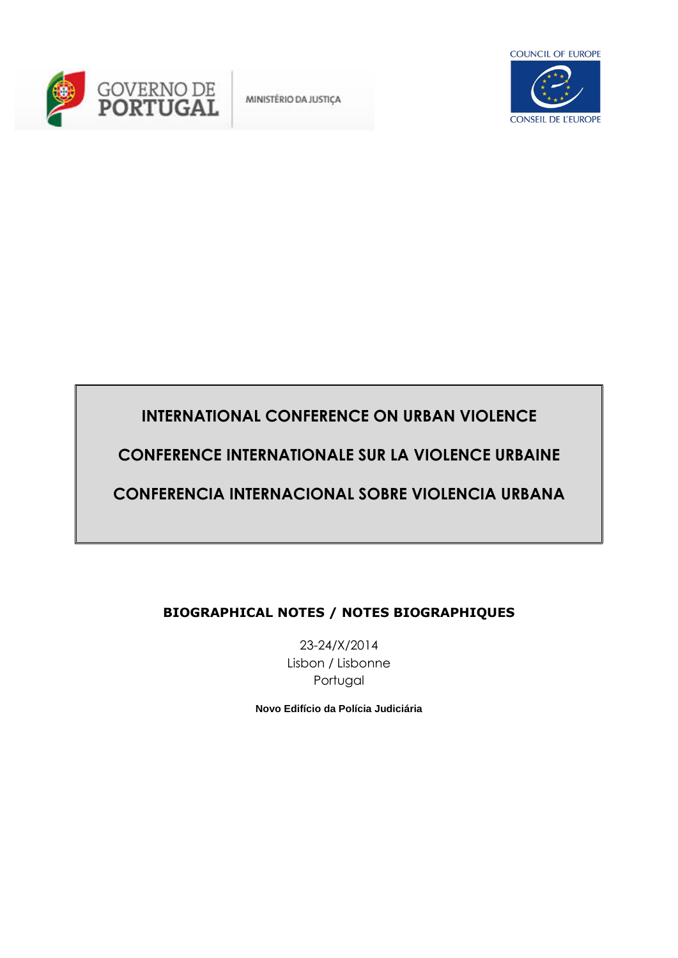

MINISTÉRIO DA JUSTIÇA



# **INTERNATIONAL CONFERENCE ON URBAN VIOLENCE**

**CONFERENCE INTERNATIONALE SUR LA VIOLENCE URBAINE**

# **CONFERENCIA INTERNACIONAL SOBRE VIOLENCIA URBANA**

# **BIOGRAPHICAL NOTES / NOTES BIOGRAPHIQUES**

23-24/X/2014 Lisbon / Lisbonne Portugal

**Novo Edifício da Polícia Judiciária**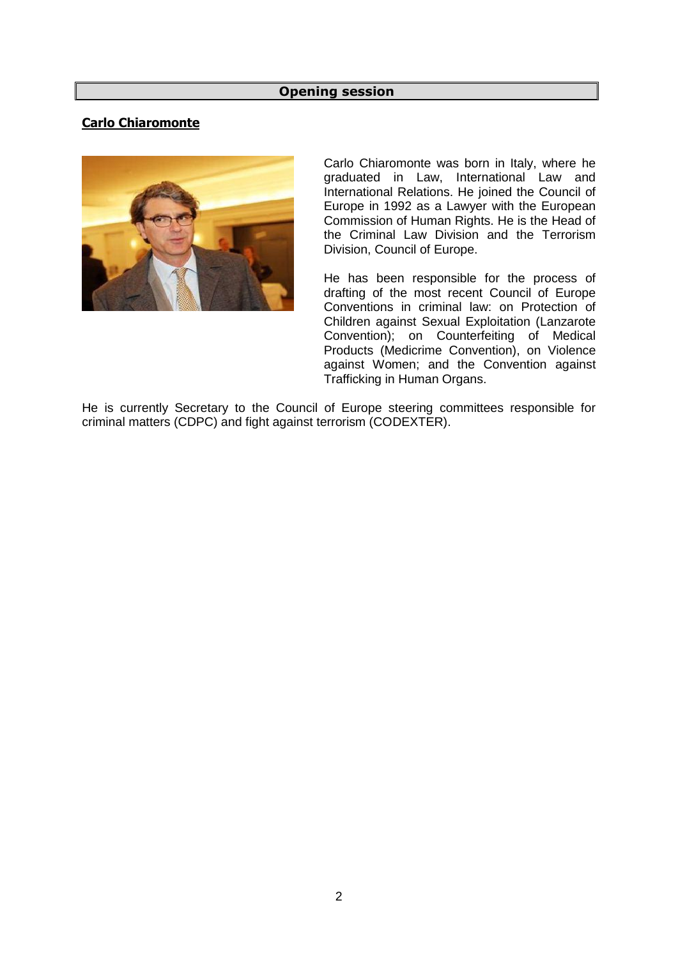### **Opening session**

# **Carlo Chiaromonte**



Carlo Chiaromonte was born in Italy, where he graduated in Law, International Law and International Relations. He joined the Council of Europe in 1992 as a Lawyer with the European Commission of Human Rights. He is the Head of the Criminal Law Division and the Terrorism Division, Council of Europe.

He has been responsible for the process of drafting of the most recent Council of Europe Conventions in criminal law: on Protection of Children against Sexual Exploitation (Lanzarote Convention); on Counterfeiting of Medical Products (Medicrime Convention), on Violence against Women; and the Convention against Trafficking in Human Organs.

He is currently Secretary to the Council of Europe steering committees responsible for criminal matters (CDPC) and fight against terrorism (CODEXTER).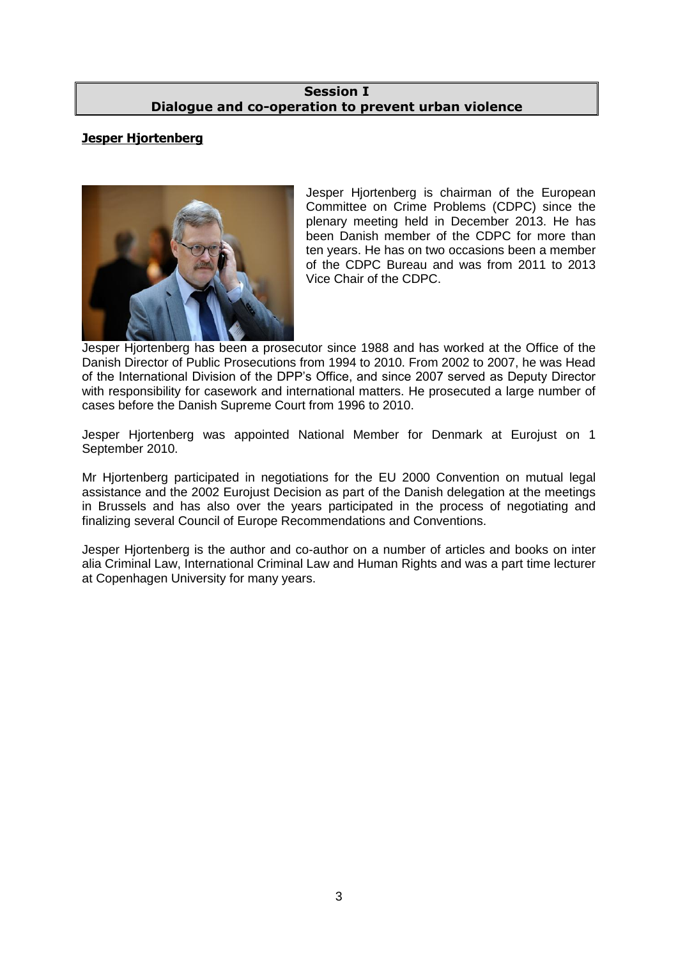### **Session I Dialogue and co-operation to prevent urban violence**

# **Jesper Hjortenberg**



Jesper Hjortenberg is chairman of the European Committee on Crime Problems (CDPC) since the plenary meeting held in December 2013. He has been Danish member of the CDPC for more than ten years. He has on two occasions been a member of the CDPC Bureau and was from 2011 to 2013 Vice Chair of the CDPC.

Jesper Hjortenberg has been a prosecutor since 1988 and has worked at the Office of the Danish Director of Public Prosecutions from 1994 to 2010. From 2002 to 2007, he was Head of the International Division of the DPP's Office, and since 2007 served as Deputy Director with responsibility for casework and international matters. He prosecuted a large number of cases before the Danish Supreme Court from 1996 to 2010.

Jesper Hjortenberg was appointed National Member for Denmark at Eurojust on 1 September 2010.

Mr Hjortenberg participated in negotiations for the EU 2000 Convention on mutual legal assistance and the 2002 Eurojust Decision as part of the Danish delegation at the meetings in Brussels and has also over the years participated in the process of negotiating and finalizing several Council of Europe Recommendations and Conventions.

Jesper Hjortenberg is the author and co-author on a number of articles and books on inter alia Criminal Law, International Criminal Law and Human Rights and was a part time lecturer at Copenhagen University for many years.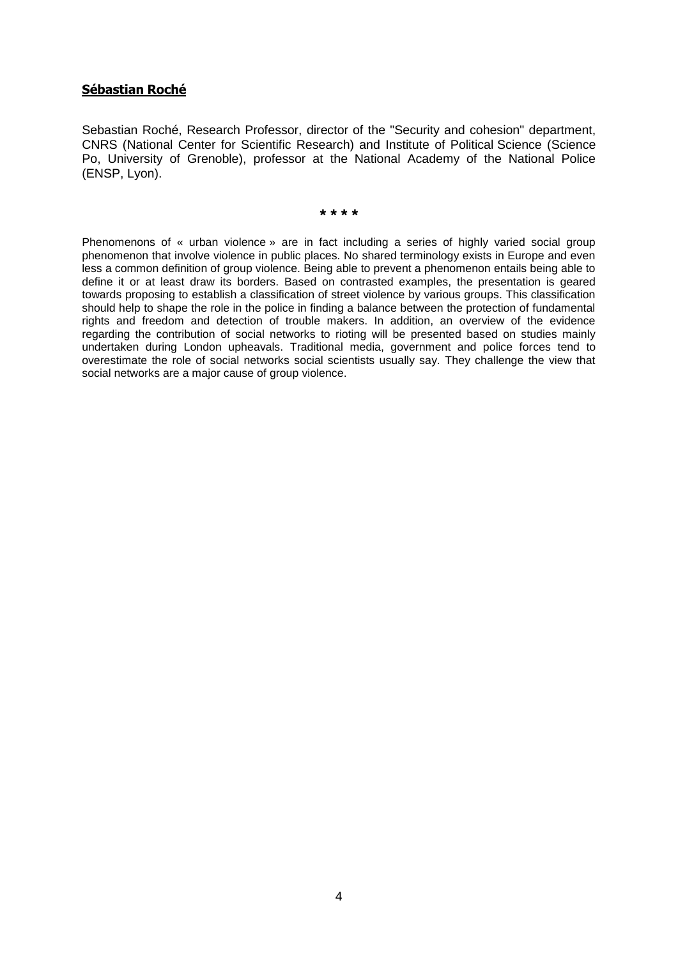### **Sébastian Roché**

Sebastian Roché, Research Professor, director of the "Security and cohesion" department, CNRS (National Center for Scientific Research) and Institute of Political Science (Science Po, University of Grenoble), professor at the National Academy of the National Police (ENSP, Lyon).

**\* \* \* \***

Phenomenons of « urban violence » are in fact including a series of highly varied social group phenomenon that involve violence in public places. No shared terminology exists in Europe and even less a common definition of group violence. Being able to prevent a phenomenon entails being able to define it or at least draw its borders. Based on contrasted examples, the presentation is geared towards proposing to establish a classification of street violence by various groups. This classification should help to shape the role in the police in finding a balance between the protection of fundamental rights and freedom and detection of trouble makers. In addition, an overview of the evidence regarding the contribution of social networks to rioting will be presented based on studies mainly undertaken during London upheavals. Traditional media, government and police forces tend to overestimate the role of social networks social scientists usually say. They challenge the view that social networks are a major cause of group violence.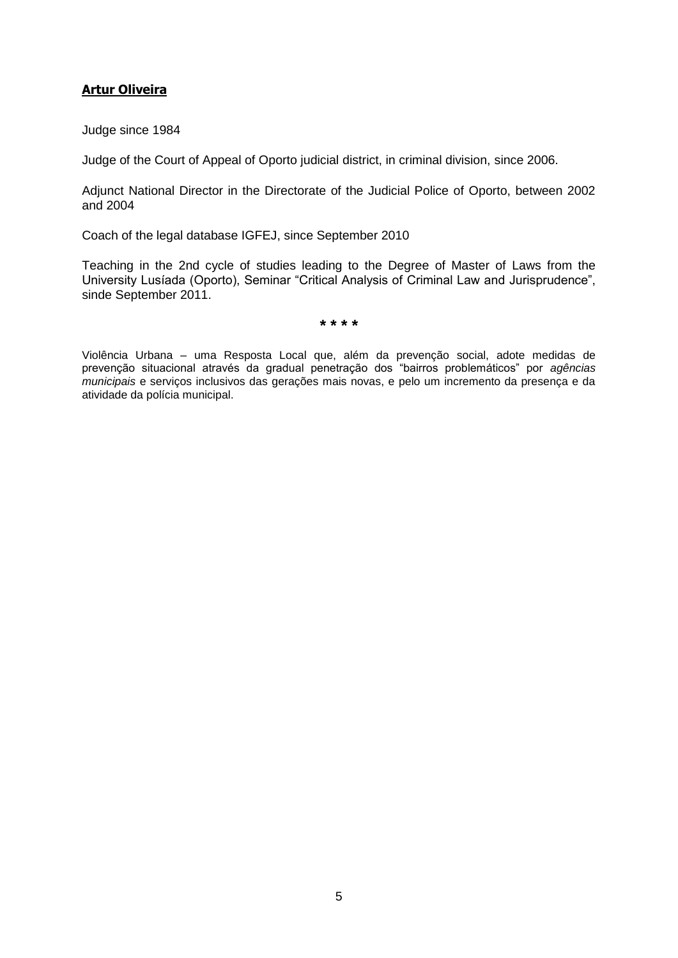# **Artur Oliveira**

Judge since 1984

Judge of the Court of Appeal of Oporto judicial district, in criminal division, since 2006.

Adjunct National Director in the Directorate of the Judicial Police of Oporto, between 2002 and 2004

Coach of the legal database IGFEJ, since September 2010

Teaching in the 2nd cycle of studies leading to the Degree of Master of Laws from the University Lusíada (Oporto), Seminar "Critical Analysis of Criminal Law and Jurisprudence", sinde September 2011.

**\* \* \* \***

Violência Urbana – uma Resposta Local que, além da prevenção social, adote medidas de prevenção situacional através da gradual penetração dos "bairros problemáticos" por *agências municipais* e serviços inclusivos das gerações mais novas, e pelo um incremento da presença e da atividade da polícia municipal.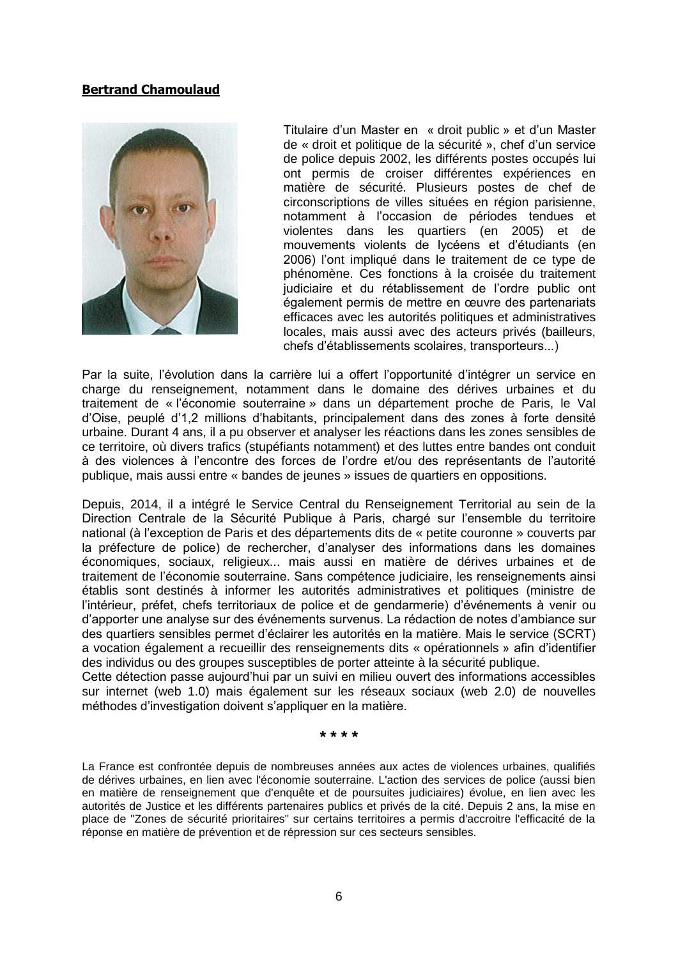### **Bertrand Chamoulaud**



Titulaire d'un Master en « droit public » et d'un Master de « droit et politique de la sécurité », chef d'un service de police depuis 2002, les différents postes occupés lui ont permis de croiser différentes expériences en matière de sécurité. Plusieurs postes de chef de circonscriptions de villes situées en région parisienne, notamment à l'occasion de périodes tendues et violentes dans les quartiers (en 2005) et de mouvements violents de lycéens et d'étudiants (en 2006) l'ont impliqué dans le traitement de ce type de phénomène. Ces fonctions à la croisée du traitement judiciaire et du rétablissement de l'ordre public ont également permis de mettre en œuvre des partenariats efficaces avec les autorités politiques et administratives locales, mais aussi avec des acteurs privés (bailleurs, chefs d'établissements scolaires, transporteurs...)

Par la suite, l'évolution dans la carrière lui a offert l'opportunité d'intégrer un service en charge du renseignement, notamment dans le domaine des dérives urbaines et du traitement de « l'économie souterraine » dans un département proche de Paris, le Val d'Oise, peuplé d'1,2 millions d'habitants, principalement dans des zones à forte densité urbaine. Durant 4 ans, il a pu observer et analyser les réactions dans les zones sensibles de ce territoire, où divers trafics (stupéfiants notamment) et des luttes entre bandes ont conduit à des violences à l'encontre des forces de l'ordre et/ou des représentants de l'autorité publique, mais aussi entre « bandes de jeunes » issues de quartiers en oppositions.

Depuis, 2014, il a intégré le Service Central du Renseignement Territorial au sein de la Direction Centrale de la Sécurité Publique à Paris, chargé sur l'ensemble du territoire national (à l'exception de Paris et des départements dits de « petite couronne » couverts par la préfecture de police) de rechercher, d'analyser des informations dans les domaines économiques, sociaux, religieux... mais aussi en matière de dérives urbaines et de traitement de l'économie souterraine. Sans compétence judiciaire, les renseignements ainsi établis sont destinés à informer les autorités administratives et politiques (ministre de l'intérieur, préfet, chefs territoriaux de police et de gendarmerie) d'événements à venir ou d'apporter une analyse sur des événements survenus. La rédaction de notes d'ambiance sur des quartiers sensibles permet d'éclairer les autorités en la matière. Mais le service (SCRT) a vocation également a recueillir des renseignements dits « opérationnels » afin d'identifier des individus ou des groupes susceptibles de porter atteinte à la sécurité publique.

Cette détection passe aujourd'hui par un suivi en milieu ouvert des informations accessibles sur internet (web 1.0) mais également sur les réseaux sociaux (web 2.0) de nouvelles méthodes d'investigation doivent s'appliquer en la matière.

**\* \* \* \***

La France est confrontée depuis de nombreuses années aux actes de violences urbaines, qualifiés de dérives urbaines, en lien avec l'économie souterraine. L'action des services de police (aussi bien en matière de renseignement que d'enquête et de poursuites judiciaires) évolue, en lien avec les autorités de Justice et les différents partenaires publics et privés de la cité. Depuis 2 ans, la mise en place de "Zones de sécurité prioritaires" sur certains territoires a permis d'accroitre l'efficacité de la réponse en matière de prévention et de répression sur ces secteurs sensibles.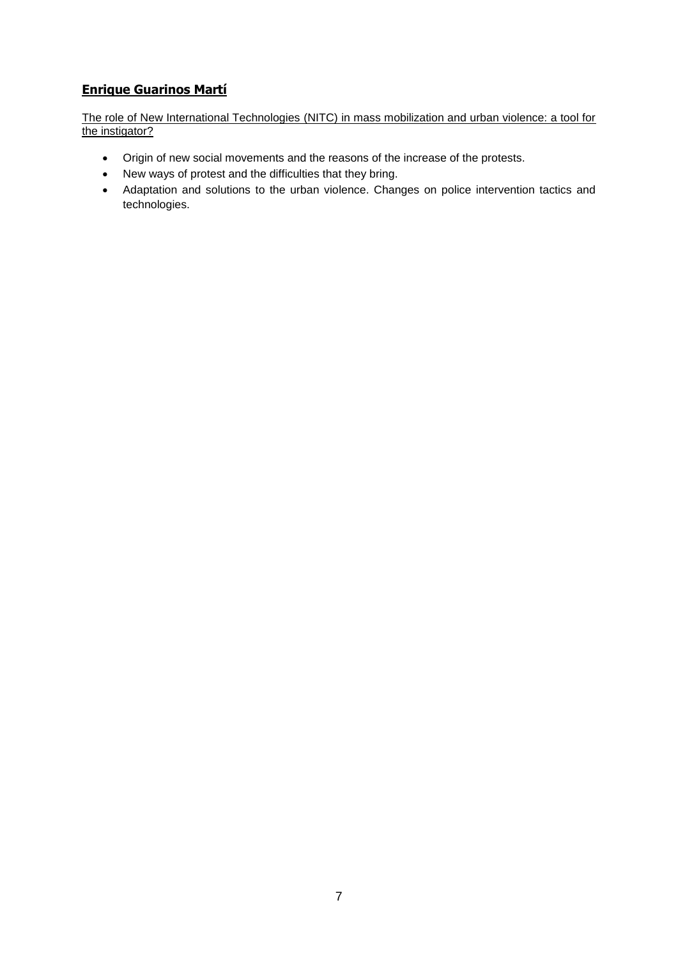# **Enrique Guarinos Martí**

The role of New International Technologies (NITC) in mass mobilization and urban violence: a tool for the instigator?

- Origin of new social movements and the reasons of the increase of the protests.
- New ways of protest and the difficulties that they bring.
- Adaptation and solutions to the urban violence. Changes on police intervention tactics and technologies.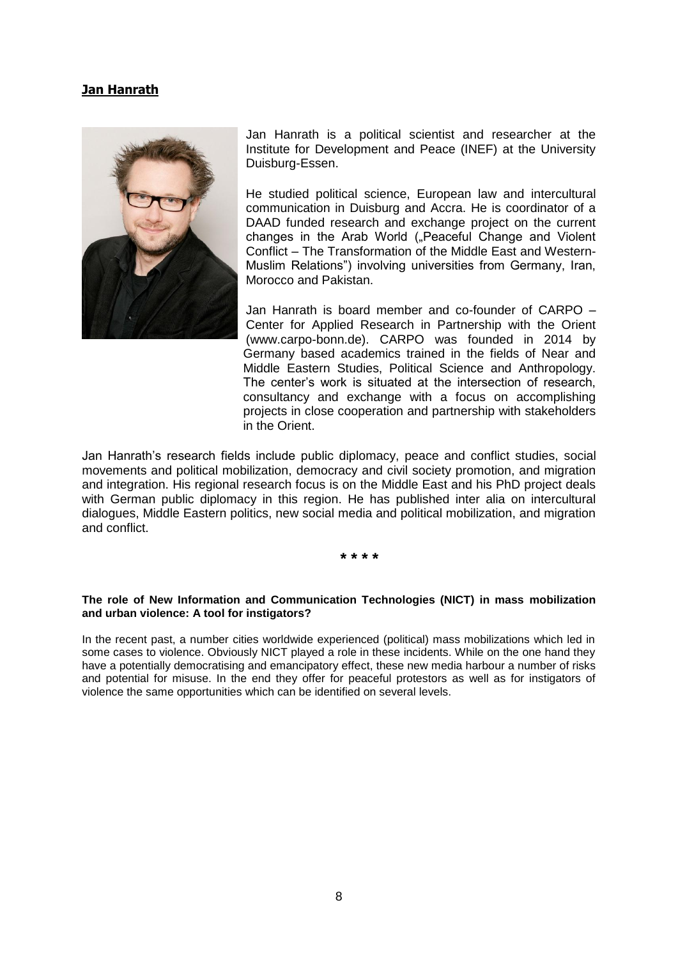### **Jan Hanrath**



Jan Hanrath is a political scientist and researcher at the Institute for Development and Peace (INEF) at the University Duisburg-Essen.

He studied political science, European law and intercultural communication in Duisburg and Accra. He is coordinator of a DAAD funded research and exchange project on the current changes in the Arab World ("Peaceful Change and Violent Conflict – The Transformation of the Middle East and Western-Muslim Relations") involving universities from Germany, Iran, Morocco and Pakistan.

Jan Hanrath is board member and co-founder of CARPO – Center for Applied Research in Partnership with the Orient (www.carpo-bonn.de). CARPO was founded in 2014 by Germany based academics trained in the fields of Near and Middle Eastern Studies, Political Science and Anthropology. The center's work is situated at the intersection of research, consultancy and exchange with a focus on accomplishing projects in close cooperation and partnership with stakeholders in the Orient.

Jan Hanrath's research fields include public diplomacy, peace and conflict studies, social movements and political mobilization, democracy and civil society promotion, and migration and integration. His regional research focus is on the Middle East and his PhD project deals with German public diplomacy in this region. He has published inter alia on intercultural dialogues, Middle Eastern politics, new social media and political mobilization, and migration and conflict.

**\* \* \* \***

#### **The role of New Information and Communication Technologies (NICT) in mass mobilization and urban violence: A tool for instigators?**

In the recent past, a number cities worldwide experienced (political) mass mobilizations which led in some cases to violence. Obviously NICT played a role in these incidents. While on the one hand they have a potentially democratising and emancipatory effect, these new media harbour a number of risks and potential for misuse. In the end they offer for peaceful protestors as well as for instigators of violence the same opportunities which can be identified on several levels.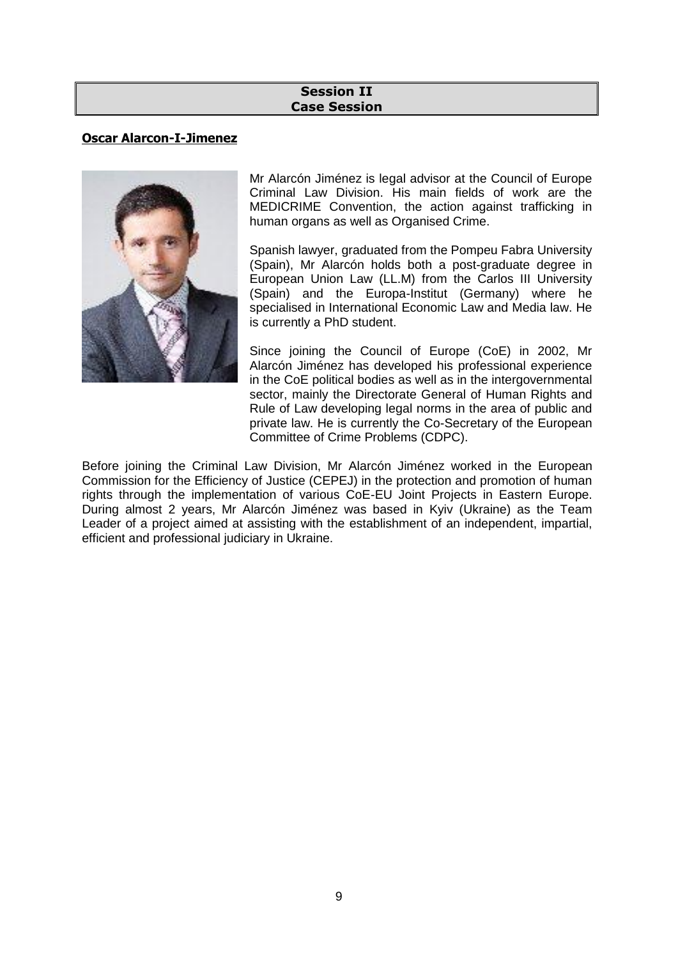### **Session II Case Session**

# **Oscar Alarcon-I-Jimenez**



Mr Alarcón Jiménez is legal advisor at the Council of Europe Criminal Law Division. His main fields of work are the MEDICRIME Convention, the action against trafficking in human organs as well as Organised Crime.

Spanish lawyer, graduated from the Pompeu Fabra University (Spain), Mr Alarcón holds both a post-graduate degree in European Union Law (LL.M) from the Carlos III University (Spain) and the Europa-Institut (Germany) where he specialised in International Economic Law and Media law. He is currently a PhD student.

Since joining the Council of Europe (CoE) in 2002, Mr Alarcón Jiménez has developed his professional experience in the CoE political bodies as well as in the intergovernmental sector, mainly the Directorate General of Human Rights and Rule of Law developing legal norms in the area of public and private law. He is currently the Co-Secretary of the European Committee of Crime Problems (CDPC).

Before joining the Criminal Law Division, Mr Alarcón Jiménez worked in the European Commission for the Efficiency of Justice (CEPEJ) in the protection and promotion of human rights through the implementation of various CoE-EU Joint Projects in Eastern Europe. During almost 2 years, Mr Alarcón Jiménez was based in Kyiv (Ukraine) as the Team Leader of a project aimed at assisting with the establishment of an independent, impartial, efficient and professional judiciary in Ukraine.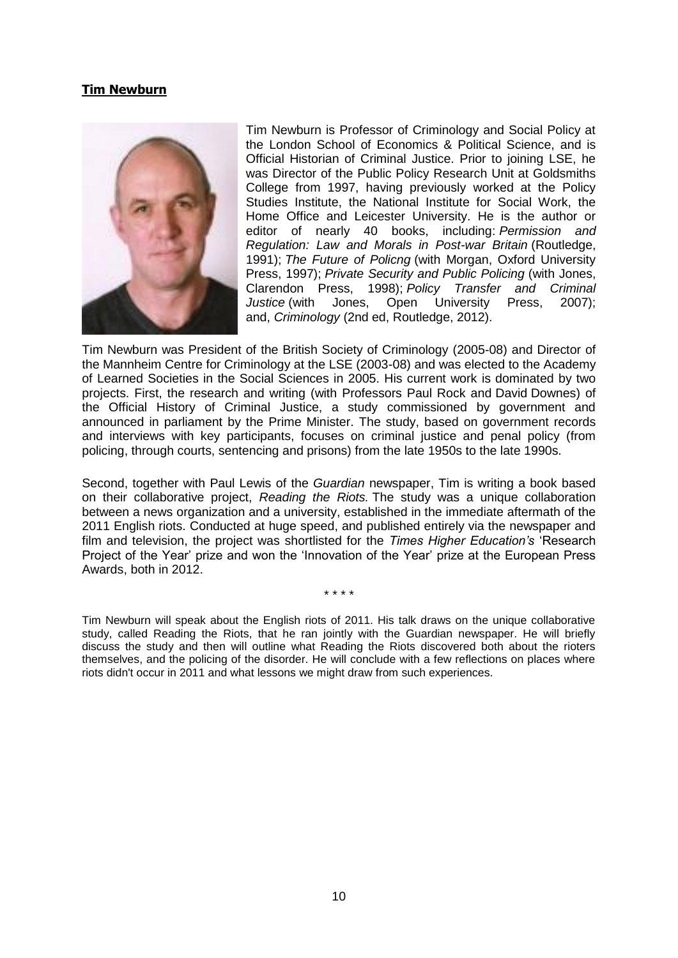### **Tim Newburn**



Tim Newburn is Professor of Criminology and Social Policy at the London School of Economics & Political Science, and is Official Historian of Criminal Justice. Prior to joining LSE, he was Director of the Public Policy Research Unit at Goldsmiths College from 1997, having previously worked at the Policy Studies Institute, the National Institute for Social Work, the Home Office and Leicester University. He is the author or editor of nearly 40 books, including: *Permission and Regulation: Law and Morals in Post-war Britain* (Routledge, 1991); *The Future of Policng* (with Morgan, Oxford University Press, 1997); *Private Security and Public Policing* (with Jones, Clarendon Press, 1998); *Policy Transfer and Criminal Justice* (with Jones, Open University Press, 2007); and, *Criminology* (2nd ed, Routledge, 2012).

Tim Newburn was President of the British Society of Criminology (2005-08) and Director of the Mannheim Centre for Criminology at the LSE (2003-08) and was elected to the Academy of Learned Societies in the Social Sciences in 2005. His current work is dominated by two projects. First, the research and writing (with Professors Paul Rock and David Downes) of the Official History of Criminal Justice, a study commissioned by government and announced in parliament by the Prime Minister. The study, based on government records and interviews with key participants, focuses on criminal justice and penal policy (from policing, through courts, sentencing and prisons) from the late 1950s to the late 1990s.

Second, together with Paul Lewis of the *Guardian* newspaper, Tim is writing a book based on their collaborative project, *Reading the Riots.* The study was a unique collaboration between a news organization and a university, established in the immediate aftermath of the 2011 English riots. Conducted at huge speed, and published entirely via the newspaper and film and television, the project was shortlisted for the *Times Higher Education's* 'Research Project of the Year' prize and won the 'Innovation of the Year' prize at the European Press Awards, both in 2012.

\* \* \* \*

Tim Newburn will speak about the English riots of 2011. His talk draws on the unique collaborative study, called Reading the Riots, that he ran jointly with the Guardian newspaper. He will briefly discuss the study and then will outline what Reading the Riots discovered both about the rioters themselves, and the policing of the disorder. He will conclude with a few reflections on places where riots didn't occur in 2011 and what lessons we might draw from such experiences.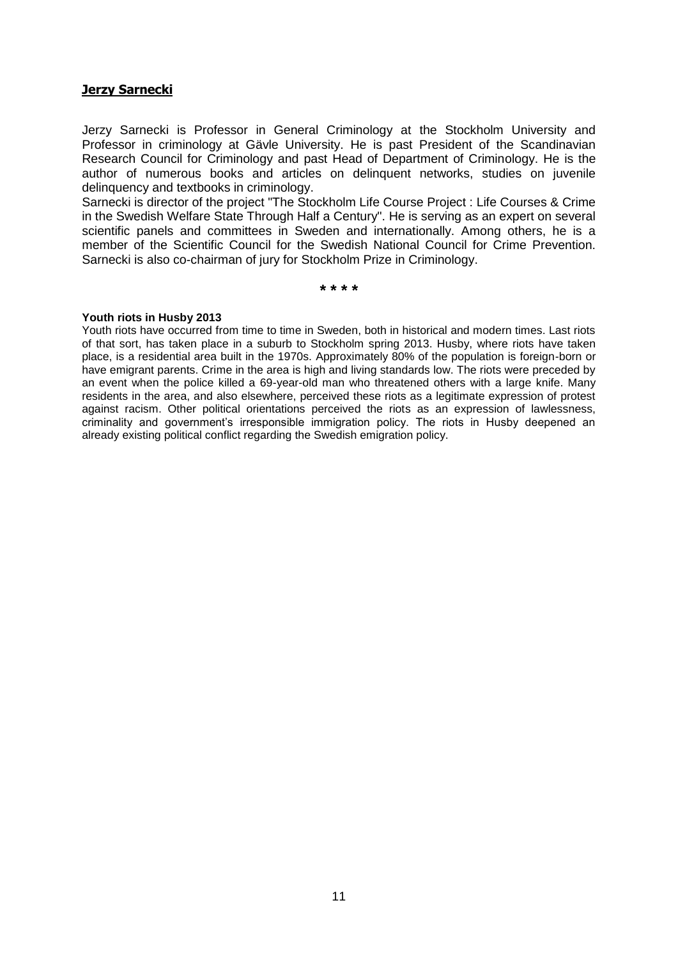### **Jerzy Sarnecki**

Jerzy Sarnecki is Professor in General Criminology at the Stockholm University and Professor in criminology at Gävle University. He is past President of the Scandinavian Research Council for Criminology and past Head of Department of Criminology. He is the author of numerous books and articles on delinquent networks, studies on juvenile delinquency and textbooks in criminology.

Sarnecki is director of the project "The Stockholm Life Course Project : Life Courses & Crime in the Swedish Welfare State Through Half a Century". He is serving as an expert on several scientific panels and committees in Sweden and internationally. Among others, he is a member of the Scientific Council for the Swedish National Council for Crime Prevention. Sarnecki is also co-chairman of jury for Stockholm Prize in Criminology.

**\* \* \* \***

#### **Youth riots in Husby 2013**

Youth riots have occurred from time to time in Sweden, both in historical and modern times. Last riots of that sort, has taken place in a suburb to Stockholm spring 2013. Husby, where riots have taken place, is a residential area built in the 1970s. Approximately 80% of the population is foreign-born or have emigrant parents. Crime in the area is high and living standards low. The riots were preceded by an event when the police killed a 69-year-old man who threatened others with a large knife. Many residents in the area, and also elsewhere, perceived these riots as a legitimate expression of protest against racism. Other political orientations perceived the riots as an expression of lawlessness, criminality and government's irresponsible immigration policy. The riots in Husby deepened an already existing political conflict regarding the Swedish emigration policy.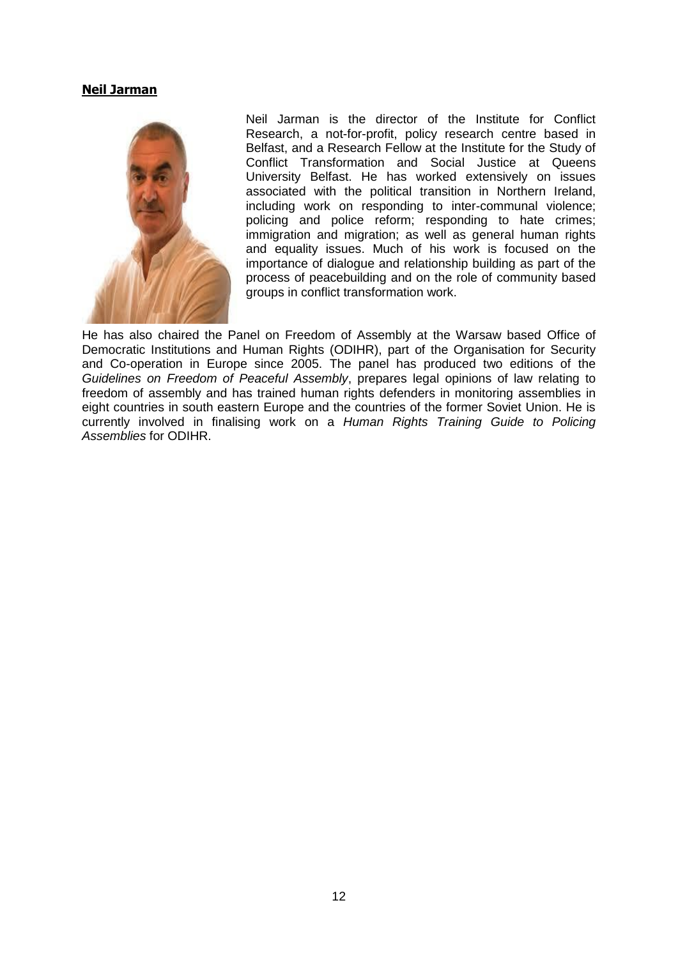### **Neil Jarman**



Neil Jarman is the director of the [Institute for Conflict](http://www.conflictresearch.org.uk/)  [Research,](http://www.conflictresearch.org.uk/) a not-for-profit, policy research centre based in Belfast, and a Research Fellow at the Institute for the Study of Conflict Transformation and Social Justice at Queens University Belfast. He has worked extensively on issues associated with the political transition in Northern Ireland, including work on responding to inter-communal violence; policing and police reform; responding to hate crimes; immigration and migration; as well as general human rights and equality issues. Much of his work is focused on the importance of dialogue and relationship building as part of the process of peacebuilding and on the role of community based groups in conflict transformation work.

He has also chaired the Panel on Freedom of Assembly at the Warsaw based [Office of](http://www.osce.org/odihr/43618)  [Democratic Institutions and Human Rights](http://www.osce.org/odihr/43618) (ODIHR), part of the Organisation for Security and Co-operation in Europe since 2005. The panel has produced two editions of the *Guidelines on Freedom of Peaceful Assembly*, prepares legal opinions of law relating to freedom of assembly and has trained human rights defenders in monitoring assemblies in eight countries in south eastern Europe and the countries of the former Soviet Union. He is currently involved in finalising work on a *Human Rights Training Guide to Policing Assemblies* for ODIHR.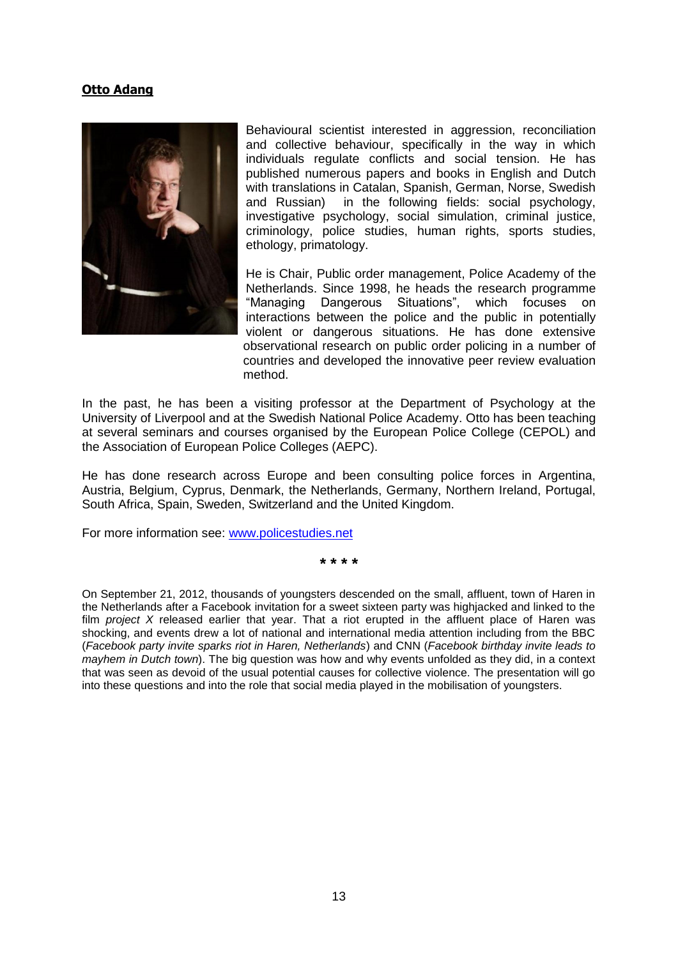### **Otto Adang**



Behavioural scientist interested in aggression, reconciliation and collective behaviour, specifically in the way in which individuals regulate conflicts and social tension. He has published numerous papers and books in English and Dutch with translations in Catalan, Spanish, German, Norse, Swedish and Russian) in the following fields: social psychology, investigative psychology, social simulation, criminal justice, criminology, police studies, human rights, sports studies, ethology, primatology.

He is Chair, Public order management, Police Academy of the Netherlands. Since 1998, he heads the research programme "Managing Dangerous Situations", which focuses on interactions between the police and the public in potentially violent or dangerous situations. He has done extensive observational research on public order policing in a number of countries and developed the innovative peer review evaluation method.

In the past, he has been a visiting professor at the Department of Psychology at the University of Liverpool and at the Swedish National Police Academy. Otto has been teaching at several seminars and courses organised by the European Police College (CEPOL) and the Association of European Police Colleges (AEPC).

He has done research across Europe and been consulting police forces in Argentina, Austria, Belgium, Cyprus, Denmark, the Netherlands, Germany, Northern Ireland, Portugal, South Africa, Spain, Sweden, Switzerland and the United Kingdom.

For more information see: [www.policestudies.net](http://www.policestudies.net/)

**\* \* \* \***

On September 21, 2012, thousands of youngsters descended on the small, affluent, town of Haren in the Netherlands after a Facebook invitation for a sweet sixteen party was highjacked and linked to the film *project X* released earlier that year. That a riot erupted in the affluent place of Haren was shocking, and events drew a lot of national and international media attention including from the BBC (*Facebook party invite sparks riot in Haren, Netherlands*) and CNN (*Facebook birthday invite leads to mayhem in Dutch town*). The big question was how and why events unfolded as they did, in a context that was seen as devoid of the usual potential causes for collective violence. The presentation will go into these questions and into the role that social media played in the mobilisation of youngsters.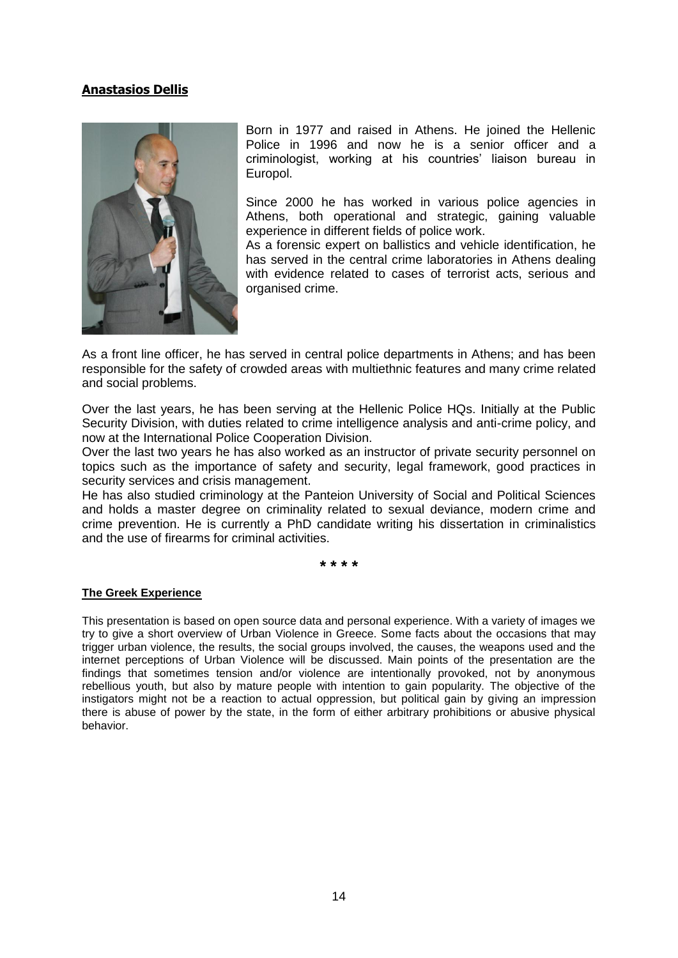## **Anastasios Dellis**



Born in 1977 and raised in Athens. He joined the Hellenic Police in 1996 and now he is a senior officer and a criminologist, working at his countries' liaison bureau in Europol.

Since 2000 he has worked in various police agencies in Athens, both operational and strategic, gaining valuable experience in different fields of police work.

As a forensic expert on ballistics and vehicle identification, he has served in the central crime laboratories in Athens dealing with evidence related to cases of terrorist acts, serious and organised crime.

As a front line officer, he has served in central police departments in Athens; and has been responsible for the safety of crowded areas with multiethnic features and many crime related and social problems.

Over the last years, he has been serving at the Hellenic Police HQs. Initially at the Public Security Division, with duties related to crime intelligence analysis and anti-crime policy, and now at the International Police Cooperation Division.

Over the last two years he has also worked as an instructor of private security personnel on topics such as the importance of safety and security, legal framework, good practices in security services and crisis management.

He has also studied criminology at the Panteion University of Social and Political Sciences and holds a master degree on criminality related to sexual deviance, modern crime and crime prevention. He is currently a PhD candidate writing his dissertation in criminalistics and the use of firearms for criminal activities.

**\* \* \* \***

### **The Greek Experience**

This presentation is based on open source data and personal experience. With a variety of images we try to give a short overview of Urban Violence in Greece. Some facts about the occasions that may trigger urban violence, the results, the social groups involved, the causes, the weapons used and the internet perceptions of Urban Violence will be discussed. Main points of the presentation are the findings that sometimes tension and/or violence are intentionally provoked, not by anonymous rebellious youth, but also by mature people with intention to gain popularity. The objective of the instigators might not be a reaction to actual oppression, but political gain by giving an impression there is abuse of power by the state, in the form of either arbitrary prohibitions or abusive physical behavior.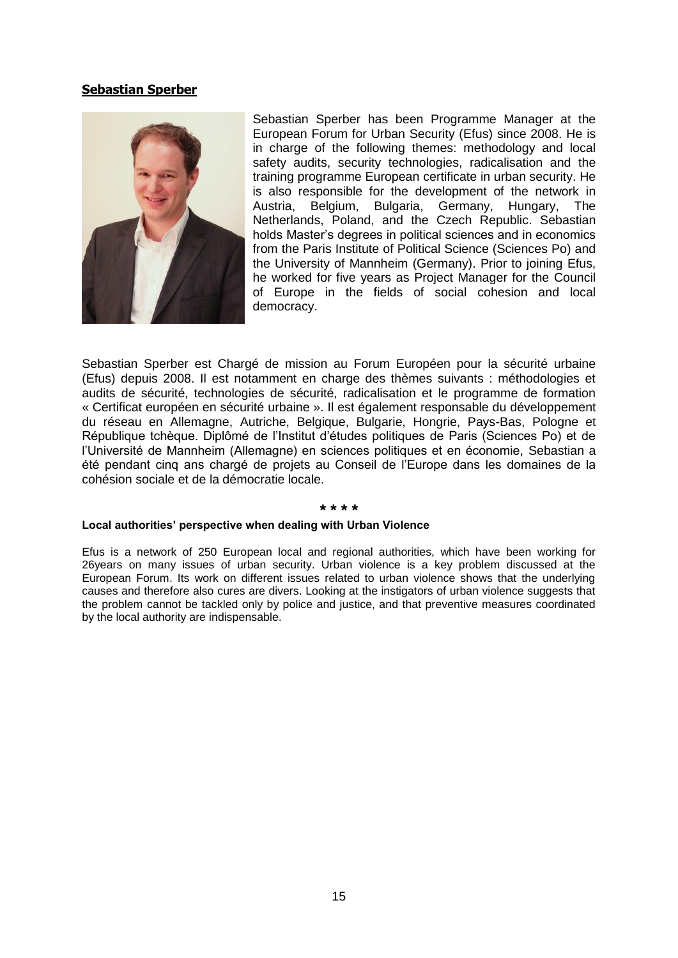### **Sebastian Sperber**



Sebastian Sperber has been Programme Manager at the European Forum for Urban Security (Efus) since 2008. He is in charge of the following themes: methodology and local safety audits, security technologies, radicalisation and the training programme European certificate in urban security. He is also responsible for the development of the network in Austria, Belgium, Bulgaria, Germany, Hungary, The Netherlands, Poland, and the Czech Republic. Sebastian holds Master's degrees in political sciences and in economics from the Paris Institute of Political Science (Sciences Po) and the University of Mannheim (Germany). Prior to joining Efus, he worked for five years as Project Manager for the Council of Europe in the fields of social cohesion and local democracy.

Sebastian Sperber est Chargé de mission au Forum Européen pour la sécurité urbaine (Efus) depuis 2008. Il est notamment en charge des thèmes suivants : méthodologies et audits de sécurité, technologies de sécurité, radicalisation et le programme de formation « Certificat européen en sécurité urbaine ». Il est également responsable du développement du réseau en Allemagne, Autriche, Belgique, Bulgarie, Hongrie, Pays-Bas, Pologne et République tchèque. Diplômé de l'Institut d'études politiques de Paris (Sciences Po) et de l'Université de Mannheim (Allemagne) en sciences politiques et en économie, Sebastian a été pendant cinq ans chargé de projets au Conseil de l'Europe dans les domaines de la cohésion sociale et de la démocratie locale.

#### **\* \* \* \***

#### **Local authorities' perspective when dealing with Urban Violence**

Efus is a network of 250 European local and regional authorities, which have been working for 26years on many issues of urban security. Urban violence is a key problem discussed at the European Forum. Its work on different issues related to urban violence shows that the underlying causes and therefore also cures are divers. Looking at the instigators of urban violence suggests that the problem cannot be tackled only by police and justice, and that preventive measures coordinated by the local authority are indispensable.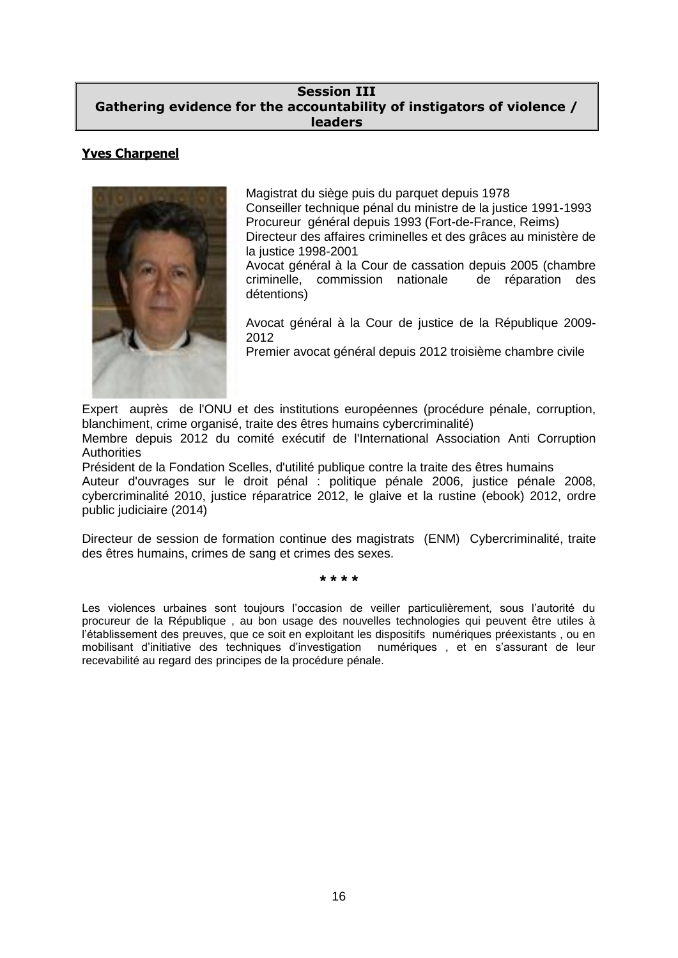### **Session III Gathering evidence for the accountability of instigators of violence / leaders**

### **Yves Charpenel**



Magistrat du siège puis du parquet depuis 1978 Conseiller technique pénal du ministre de la justice 1991-1993 Procureur général depuis 1993 (Fort-de-France, Reims) Directeur des affaires criminelles et des grâces au ministère de la justice 1998-2001

Avocat général à la Cour de cassation depuis 2005 (chambre criminelle, commission nationale de réparation des détentions)

Avocat général à la Cour de justice de la République 2009- 2012

Premier avocat général depuis 2012 troisième chambre civile

Expert auprès de l'ONU et des institutions européennes (procédure pénale, corruption, blanchiment, crime organisé, traite des êtres humains cybercriminalité)

Membre depuis 2012 du comité exécutif de l'International Association Anti Corruption **Authorities** 

Président de la Fondation Scelles, d'utilité publique contre la traite des êtres humains Auteur d'ouvrages sur le droit pénal : politique pénale 2006, justice pénale 2008, cybercriminalité 2010, justice réparatrice 2012, le glaive et la rustine (ebook) 2012, ordre public judiciaire (2014)

Directeur de session de formation continue des magistrats (ENM) Cybercriminalité, traite des êtres humains, crimes de sang et crimes des sexes.

**\* \* \* \***

Les violences urbaines sont toujours l'occasion de veiller particulièrement, sous l'autorité du procureur de la République , au bon usage des nouvelles technologies qui peuvent être utiles à l'établissement des preuves, que ce soit en exploitant les dispositifs numériques préexistants , ou en mobilisant d'initiative des techniques d'investigation numériques , et en s'assurant de leur recevabilité au regard des principes de la procédure pénale.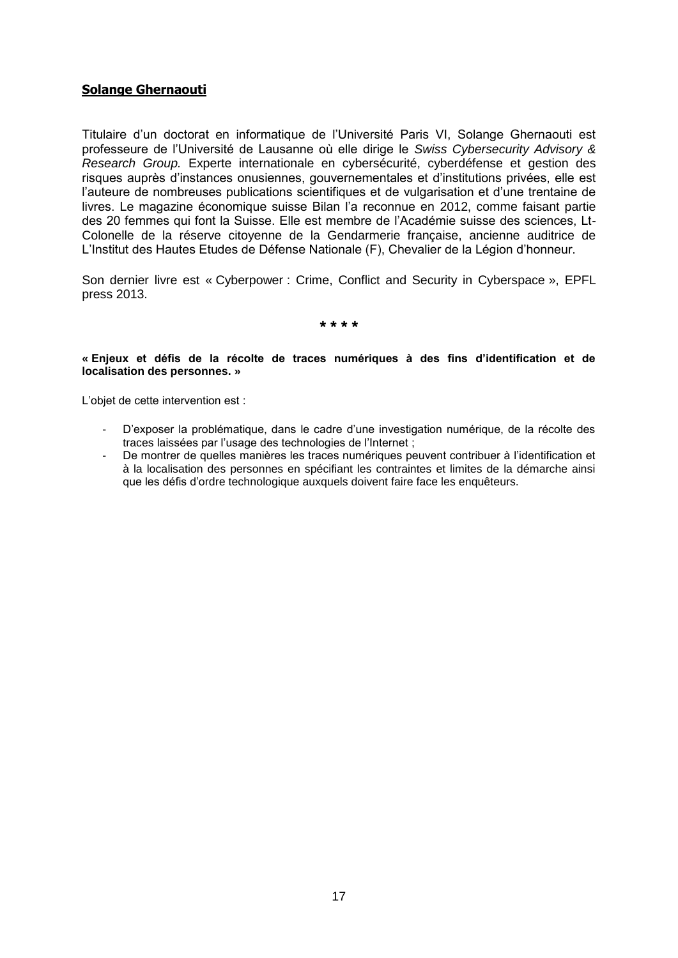### **Solange Ghernaouti**

Titulaire d'un doctorat en informatique de l'Université Paris VI, Solange Ghernaouti est professeure de l'Université de Lausanne où elle dirige le *Swiss Cybersecurity Advisory & Research Group.* Experte internationale en cybersécurité, cyberdéfense et gestion des risques auprès d'instances onusiennes, gouvernementales et d'institutions privées, elle est l'auteure de nombreuses publications scientifiques et de vulgarisation et d'une trentaine de livres. Le magazine économique suisse Bilan l'a reconnue en 2012, comme faisant partie des 20 femmes qui font la Suisse. Elle est membre de l'Académie suisse des sciences, Lt-Colonelle de la réserve citoyenne de la Gendarmerie française, ancienne auditrice de L'Institut des Hautes Etudes de Défense Nationale (F), Chevalier de la Légion d'honneur.

Son dernier livre est « Cyberpower : Crime, Conflict and Security in Cyberspace », EPFL press 2013.

**\* \* \* \***

#### **« Enjeux et défis de la récolte de traces numériques à des fins d'identification et de localisation des personnes. »**

L'objet de cette intervention est :

- D'exposer la problématique, dans le cadre d'une investigation numérique, de la récolte des traces laissées par l'usage des technologies de l'Internet ;
- De montrer de quelles manières les traces numériques peuvent contribuer à l'identification et à la localisation des personnes en spécifiant les contraintes et limites de la démarche ainsi que les défis d'ordre technologique auxquels doivent faire face les enquêteurs.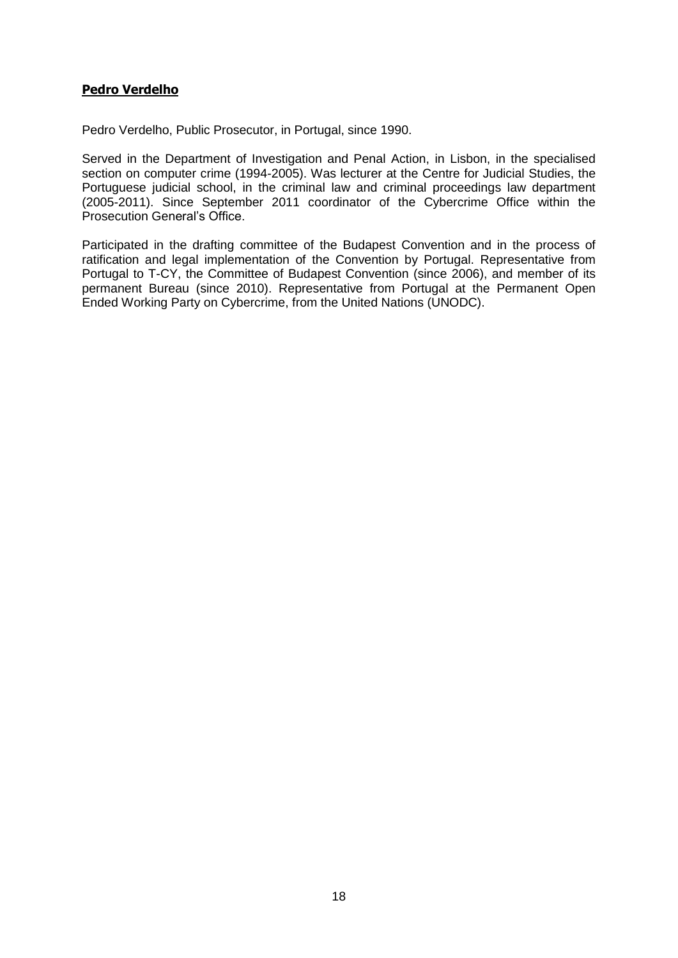### **Pedro Verdelho**

Pedro Verdelho, Public Prosecutor, in Portugal, since 1990.

Served in the Department of Investigation and Penal Action, in Lisbon, in the specialised section on computer crime (1994-2005). Was lecturer at the Centre for Judicial Studies, the Portuguese judicial school, in the criminal law and criminal proceedings law department (2005-2011). Since September 2011 coordinator of the Cybercrime Office within the Prosecution General's Office.

Participated in the drafting committee of the Budapest Convention and in the process of ratification and legal implementation of the Convention by Portugal. Representative from Portugal to T-CY, the Committee of Budapest Convention (since 2006), and member of its permanent Bureau (since 2010). Representative from Portugal at the Permanent Open Ended Working Party on Cybercrime, from the United Nations (UNODC).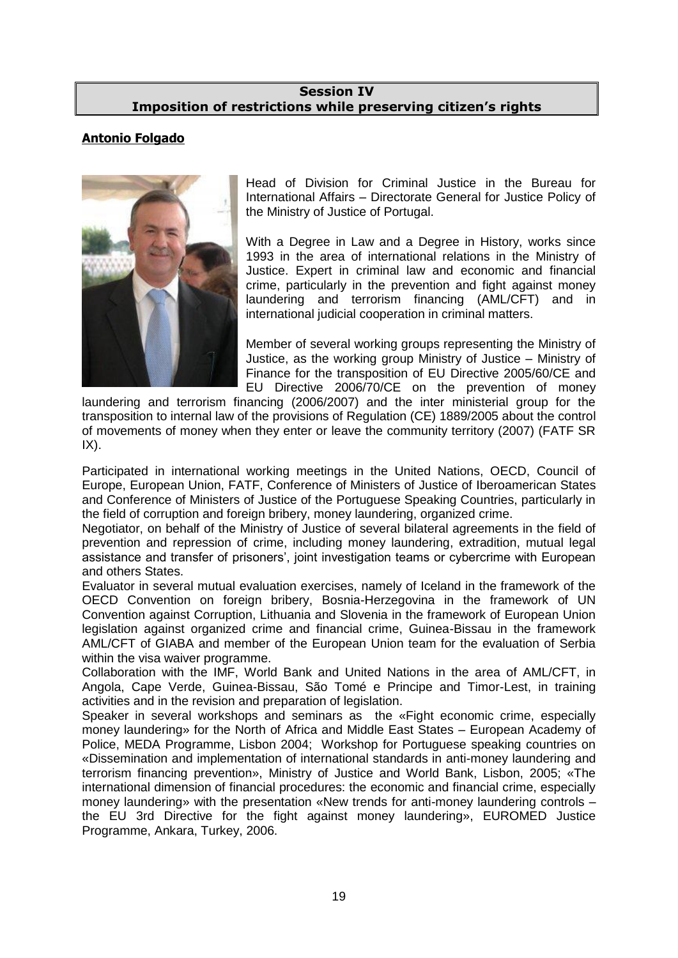### **Session IV Imposition of restrictions while preserving citizen's rights**

# **Antonio Folgado**



Head of Division for Criminal Justice in the Bureau for International Affairs – Directorate General for Justice Policy of the Ministry of Justice of Portugal.

With a Degree in Law and a Degree in History, works since 1993 in the area of international relations in the Ministry of Justice. Expert in criminal law and economic and financial crime, particularly in the prevention and fight against money laundering and terrorism financing (AML/CFT) and in international judicial cooperation in criminal matters.

Member of several working groups representing the Ministry of Justice, as the working group Ministry of Justice – Ministry of Finance for the transposition of EU Directive 2005/60/CE and EU Directive 2006/70/CE on the prevention of money

laundering and terrorism financing (2006/2007) and the inter ministerial group for the transposition to internal law of the provisions of Regulation (CE) 1889/2005 about the control of movements of money when they enter or leave the community territory (2007) (FATF SR  $IX$ ).

Participated in international working meetings in the United Nations, OECD, Council of Europe, European Union, FATF, Conference of Ministers of Justice of Iberoamerican States and Conference of Ministers of Justice of the Portuguese Speaking Countries, particularly in the field of corruption and foreign bribery, money laundering, organized crime.

Negotiator, on behalf of the Ministry of Justice of several bilateral agreements in the field of prevention and repression of crime, including money laundering, extradition, mutual legal assistance and transfer of prisoners', joint investigation teams or cybercrime with European and others States.

Evaluator in several mutual evaluation exercises, namely of Iceland in the framework of the OECD Convention on foreign bribery, Bosnia-Herzegovina in the framework of UN Convention against Corruption, Lithuania and Slovenia in the framework of European Union legislation against organized crime and financial crime, Guinea-Bissau in the framework AML/CFT of GIABA and member of the European Union team for the evaluation of Serbia within the visa waiver programme.

Collaboration with the IMF, World Bank and United Nations in the area of AML/CFT, in Angola, Cape Verde, Guinea-Bissau, São Tomé e Principe and Timor-Lest, in training activities and in the revision and preparation of legislation.

Speaker in several workshops and seminars as the «Fight economic crime, especially money laundering» for the North of Africa and Middle East States – European Academy of Police, MEDA Programme, Lisbon 2004; Workshop for Portuguese speaking countries on «Dissemination and implementation of international standards in anti-money laundering and terrorism financing prevention», Ministry of Justice and World Bank, Lisbon, 2005; «The international dimension of financial procedures: the economic and financial crime, especially money laundering» with the presentation «New trends for anti-money laundering controls – the EU 3rd Directive for the fight against money laundering», EUROMED Justice Programme, Ankara, Turkey, 2006.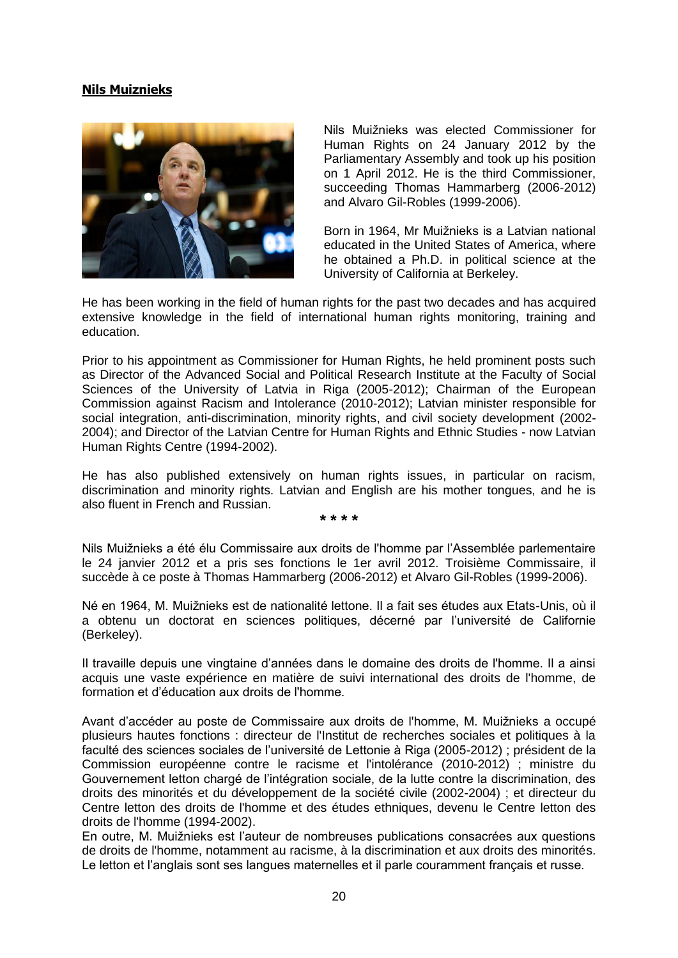## **Nils Muiznieks**



Nils Muižnieks was elected Commissioner for Human Rights on 24 January 2012 by the Parliamentary Assembly and took up his position on 1 April 2012. He is the third Commissioner, succeeding Thomas Hammarberg (2006-2012) and Alvaro Gil-Robles (1999-2006).

Born in 1964, Mr Muižnieks is a Latvian national educated in the United States of America, where he obtained a Ph.D. in political science at the University of California at Berkeley.

He has been working in the field of human rights for the past two decades and has acquired extensive knowledge in the field of international human rights monitoring, training and education.

Prior to his appointment as Commissioner for Human Rights, he held prominent posts such as Director of the Advanced Social and Political Research Institute at the Faculty of Social Sciences of the University of Latvia in Riga (2005-2012); Chairman of the European Commission against Racism and Intolerance (2010-2012); Latvian minister responsible for social integration, anti-discrimination, minority rights, and civil society development (2002- 2004); and Director of the Latvian Centre for Human Rights and Ethnic Studies - now Latvian Human Rights Centre (1994-2002).

He has also published extensively on human rights issues, in particular on racism, discrimination and minority rights. Latvian and English are his mother tongues, and he is also fluent in French and Russian.

**\* \* \* \***

Nils Muižnieks a été élu Commissaire aux droits de l'homme par l'Assemblée parlementaire le 24 janvier 2012 et a pris ses fonctions le 1er avril 2012. Troisième Commissaire, il succède à ce poste à Thomas Hammarberg (2006-2012) et Alvaro Gil-Robles (1999-2006).

Né en 1964, M. Muižnieks est de nationalité lettone. Il a fait ses études aux Etats-Unis, où il a obtenu un doctorat en sciences politiques, décerné par l'université de Californie (Berkeley).

Il travaille depuis une vingtaine d'années dans le domaine des droits de l'homme. Il a ainsi acquis une vaste expérience en matière de suivi international des droits de l'homme, de formation et d'éducation aux droits de l'homme.

Avant d'accéder au poste de Commissaire aux droits de l'homme, M. Muižnieks a occupé plusieurs hautes fonctions : directeur de l'Institut de recherches sociales et politiques à la faculté des sciences sociales de l'université de Lettonie à Riga (2005-2012) ; président de la Commission européenne contre le racisme et l'intolérance (2010-2012) ; ministre du Gouvernement letton chargé de l'intégration sociale, de la lutte contre la discrimination, des droits des minorités et du développement de la société civile (2002-2004) ; et directeur du Centre letton des droits de l'homme et des études ethniques, devenu le Centre letton des droits de l'homme (1994-2002).

En outre, M. Muižnieks est l'auteur de nombreuses publications consacrées aux questions de droits de l'homme, notamment au racisme, à la discrimination et aux droits des minorités. Le letton et l'anglais sont ses langues maternelles et il parle couramment français et russe.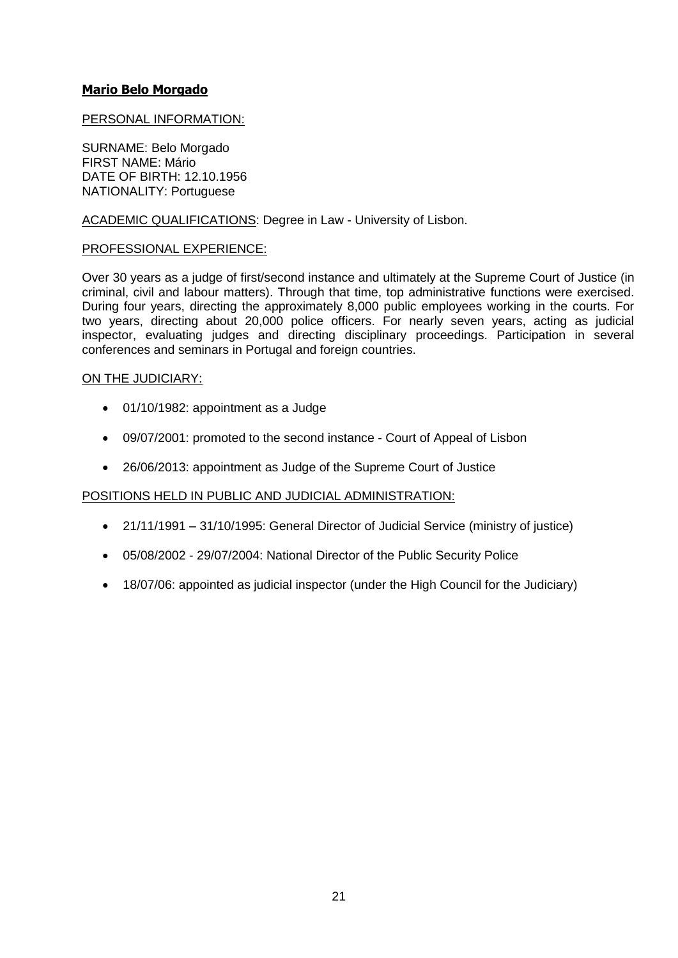### **Mario Belo Morgado**

### PERSONAL INFORMATION:

SURNAME: Belo Morgado FIRST NAME: Mário DATE OF BIRTH: 12.10.1956 NATIONALITY: Portuguese

### ACADEMIC QUALIFICATIONS: Degree in Law - University of Lisbon.

### PROFESSIONAL EXPERIENCE:

Over 30 years as a judge of first/second instance and ultimately at the Supreme Court of Justice (in criminal, civil and labour matters). Through that time, top administrative functions were exercised. During four years, directing the approximately 8,000 public employees working in the courts. For two years, directing about 20,000 police officers. For nearly seven years, acting as judicial inspector, evaluating judges and directing disciplinary proceedings. Participation in several conferences and seminars in Portugal and foreign countries.

### ON THE JUDICIARY:

- 01/10/1982: appointment as a Judge
- 09/07/2001: promoted to the second instance Court of Appeal of Lisbon
- 26/06/2013: appointment as Judge of the Supreme Court of Justice

### POSITIONS HELD IN PUBLIC AND JUDICIAL ADMINISTRATION:

- 21/11/1991 31/10/1995: General Director of Judicial Service (ministry of justice)
- 05/08/2002 29/07/2004: National Director of the Public Security Police
- 18/07/06: appointed as judicial inspector (under the High Council for the Judiciary)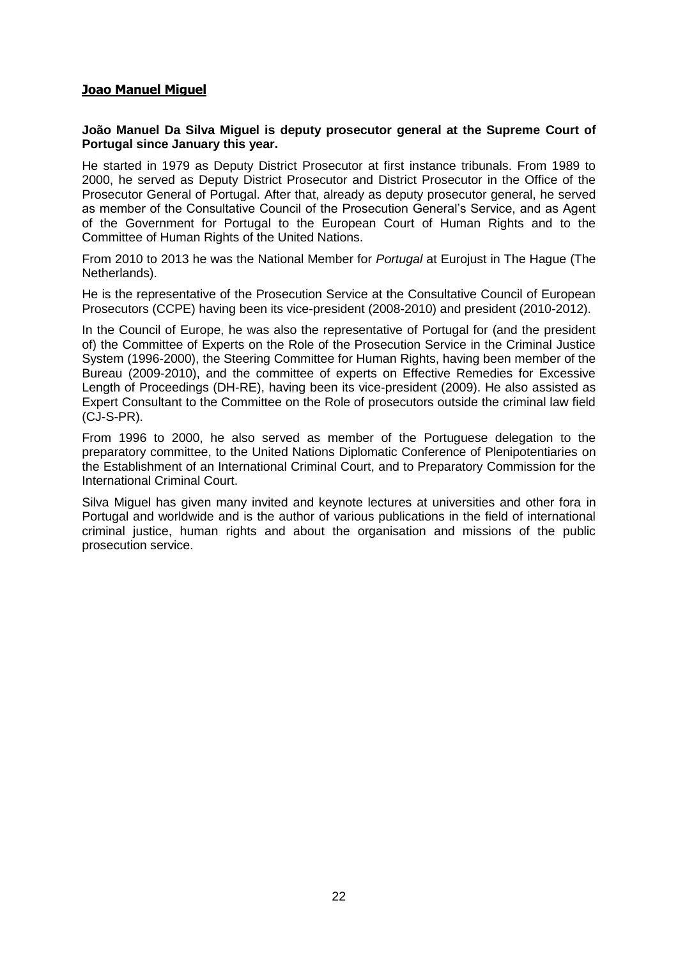### **Joao Manuel Miguel**

### **João Manuel Da Silva Miguel is deputy prosecutor general at the Supreme Court of Portugal since January this year.**

He started in 1979 as Deputy District Prosecutor at first instance tribunals. From 1989 to 2000, he served as Deputy District Prosecutor and District Prosecutor in the Office of the Prosecutor General of Portugal. After that, already as deputy prosecutor general, he served as member of the Consultative Council of the Prosecution General's Service, and as Agent of the Government for Portugal to the European Court of Human Rights and to the Committee of Human Rights of the United Nations.

From 2010 to 2013 he was the National Member for *Portugal* at Eurojust in The Hague (The Netherlands).

He is the representative of the Prosecution Service at the Consultative Council of European Prosecutors (CCPE) having been its vice-president (2008-2010) and president (2010-2012).

In the Council of Europe, he was also the representative of Portugal for (and the president of) the Committee of Experts on the Role of the Prosecution Service in the Criminal Justice System (1996-2000), the Steering Committee for Human Rights, having been member of the Bureau (2009-2010), and the committee of experts on Effective Remedies for Excessive Length of Proceedings (DH-RE), having been its vice-president (2009). He also assisted as Expert Consultant to the Committee on the Role of prosecutors outside the criminal law field (CJ-S-PR).

From 1996 to 2000, he also served as member of the Portuguese delegation to the preparatory committee, to the United Nations Diplomatic Conference of Plenipotentiaries on the Establishment of an International Criminal Court, and to Preparatory Commission for the International Criminal Court.

Silva Miguel has given many invited and keynote lectures at universities and other fora in Portugal and worldwide and is the author of various publications in the field of international criminal justice, human rights and about the organisation and missions of the public prosecution service.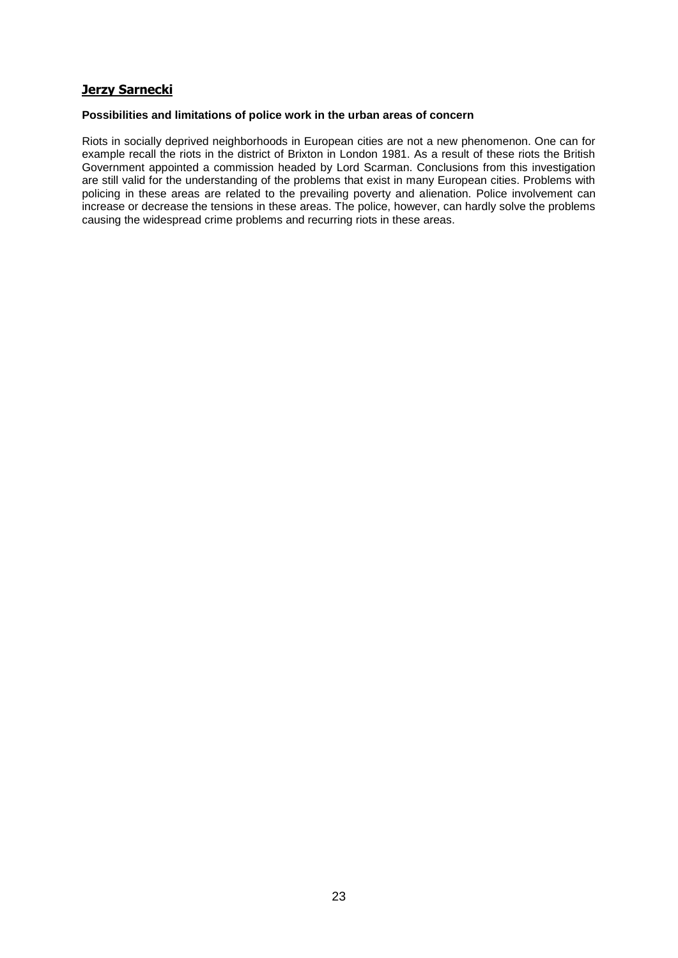## **Jerzy Sarnecki**

#### **Possibilities and limitations of police work in the urban areas of concern**

Riots in socially deprived neighborhoods in European cities are not a new phenomenon. One can for example recall the riots in the district of Brixton in London 1981. As a result of these riots the British Government appointed a commission headed by Lord Scarman. Conclusions from this investigation are still valid for the understanding of the problems that exist in many European cities. Problems with policing in these areas are related to the prevailing poverty and alienation. Police involvement can increase or decrease the tensions in these areas. The police, however, can hardly solve the problems causing the widespread crime problems and recurring riots in these areas.